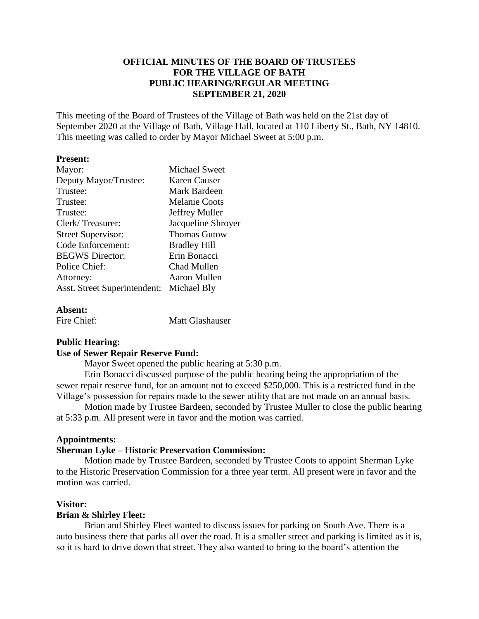## **OFFICIAL MINUTES OF THE BOARD OF TRUSTEES FOR THE VILLAGE OF BATH PUBLIC HEARING/REGULAR MEETING SEPTEMBER 21, 2020**

This meeting of the Board of Trustees of the Village of Bath was held on the 21st day of September 2020 at the Village of Bath, Village Hall, located at 110 Liberty St., Bath, NY 14810. This meeting was called to order by Mayor Michael Sweet at 5:00 p.m.

### **Present:**

| Mayor:                                   | <b>Michael Sweet</b> |
|------------------------------------------|----------------------|
| Deputy Mayor/Trustee:                    | <b>Karen Causer</b>  |
| Trustee:                                 | Mark Bardeen         |
| Trustee:                                 | <b>Melanie Coots</b> |
| Trustee:                                 | Jeffrey Muller       |
| Clerk/Treasurer:                         | Jacqueline Shroyer   |
| <b>Street Supervisor:</b>                | <b>Thomas Gutow</b>  |
| Code Enforcement:                        | <b>Bradley Hill</b>  |
| <b>BEGWS</b> Director:                   | Erin Bonacci         |
| Police Chief:                            | Chad Mullen          |
| Attorney:                                | Aaron Mullen         |
| Asst. Street Superintendent: Michael Bly |                      |
|                                          |                      |

### **Absent:**

| Fire Chief: | Matt Glashauser |
|-------------|-----------------|
|             |                 |

## **Public Hearing:**

## **Use of Sewer Repair Reserve Fund:**

Mayor Sweet opened the public hearing at 5:30 p.m.

Erin Bonacci discussed purpose of the public hearing being the appropriation of the sewer repair reserve fund, for an amount not to exceed \$250,000. This is a restricted fund in the Village's possession for repairs made to the sewer utility that are not made on an annual basis.

Motion made by Trustee Bardeen, seconded by Trustee Muller to close the public hearing at 5:33 p.m. All present were in favor and the motion was carried.

## **Appointments:**

## **Sherman Lyke – Historic Preservation Commission:**

Motion made by Trustee Bardeen, seconded by Trustee Coots to appoint Sherman Lyke to the Historic Preservation Commission for a three year term. All present were in favor and the motion was carried.

#### **Visitor:**

#### **Brian & Shirley Fleet:**

Brian and Shirley Fleet wanted to discuss issues for parking on South Ave. There is a auto business there that parks all over the road. It is a smaller street and parking is limited as it is, so it is hard to drive down that street. They also wanted to bring to the board's attention the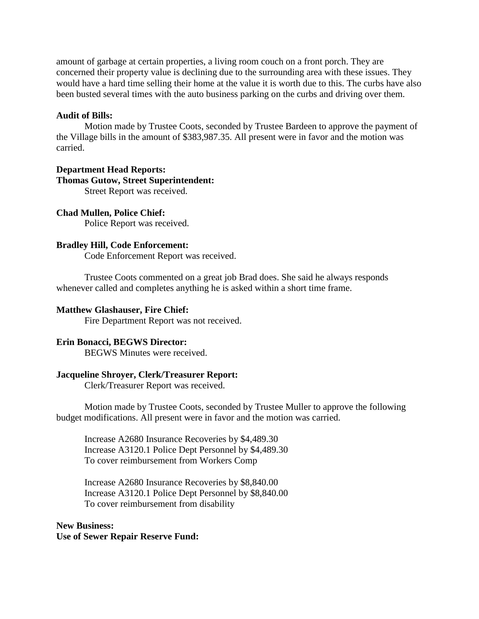amount of garbage at certain properties, a living room couch on a front porch. They are concerned their property value is declining due to the surrounding area with these issues. They would have a hard time selling their home at the value it is worth due to this. The curbs have also been busted several times with the auto business parking on the curbs and driving over them.

## **Audit of Bills:**

Motion made by Trustee Coots, seconded by Trustee Bardeen to approve the payment of the Village bills in the amount of \$383,987.35. All present were in favor and the motion was carried.

# **Department Head Reports: Thomas Gutow, Street Superintendent:**

Street Report was received.

## **Chad Mullen, Police Chief:**

Police Report was received.

## **Bradley Hill, Code Enforcement:**

Code Enforcement Report was received.

Trustee Coots commented on a great job Brad does. She said he always responds whenever called and completes anything he is asked within a short time frame.

## **Matthew Glashauser, Fire Chief:**

Fire Department Report was not received.

## **Erin Bonacci, BEGWS Director:**

BEGWS Minutes were received.

## **Jacqueline Shroyer, Clerk/Treasurer Report:**

Clerk/Treasurer Report was received.

Motion made by Trustee Coots, seconded by Trustee Muller to approve the following budget modifications. All present were in favor and the motion was carried.

Increase A2680 Insurance Recoveries by \$4,489.30 Increase A3120.1 Police Dept Personnel by \$4,489.30 To cover reimbursement from Workers Comp

Increase A2680 Insurance Recoveries by \$8,840.00 Increase A3120.1 Police Dept Personnel by \$8,840.00 To cover reimbursement from disability

## **New Business: Use of Sewer Repair Reserve Fund:**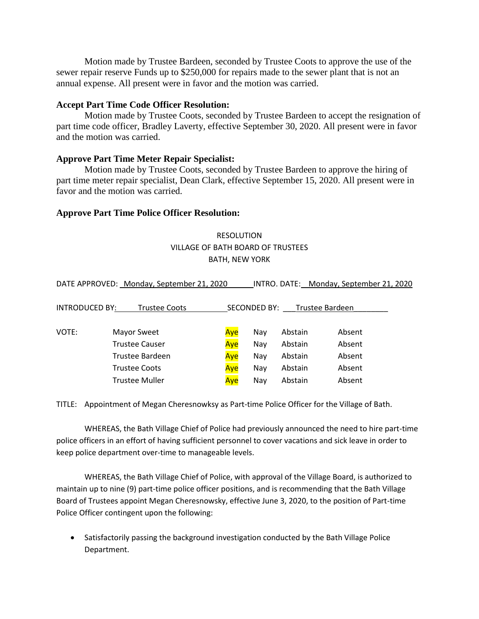Motion made by Trustee Bardeen, seconded by Trustee Coots to approve the use of the sewer repair reserve Funds up to \$250,000 for repairs made to the sewer plant that is not an annual expense. All present were in favor and the motion was carried.

## **Accept Part Time Code Officer Resolution:**

Motion made by Trustee Coots, seconded by Trustee Bardeen to accept the resignation of part time code officer, Bradley Laverty, effective September 30, 2020. All present were in favor and the motion was carried.

## **Approve Part Time Meter Repair Specialist:**

Motion made by Trustee Coots, seconded by Trustee Bardeen to approve the hiring of part time meter repair specialist, Dean Clark, effective September 15, 2020. All present were in favor and the motion was carried.

## **Approve Part Time Police Officer Resolution:**

## RESOLUTION VILLAGE OF BATH BOARD OF TRUSTEES BATH, NEW YORK

DATE APPROVED: Monday, September 21, 2020 INTRO. DATE: Monday, September 21, 2020

| INTRODUCED BY:<br>Trustee Coots |                       | <b>SECONDED BY:</b><br>Trustee Bardeen |     |         |        |  |
|---------------------------------|-----------------------|----------------------------------------|-----|---------|--------|--|
|                                 |                       |                                        |     |         |        |  |
| VOTE:                           | Mayor Sweet           | <u>Aye</u>                             | Nav | Abstain | Absent |  |
|                                 | <b>Trustee Causer</b> | Aye                                    | Nay | Abstain | Absent |  |
|                                 | Trustee Bardeen       | Aye                                    | Nay | Abstain | Absent |  |
|                                 | <b>Trustee Coots</b>  | Aye                                    | Nav | Abstain | Absent |  |
|                                 | <b>Trustee Muller</b> | Aye                                    | Nay | Abstain | Absent |  |

TITLE: Appointment of Megan Cheresnowksy as Part-time Police Officer for the Village of Bath.

WHEREAS, the Bath Village Chief of Police had previously announced the need to hire part-time police officers in an effort of having sufficient personnel to cover vacations and sick leave in order to keep police department over-time to manageable levels.

WHEREAS, the Bath Village Chief of Police, with approval of the Village Board, is authorized to maintain up to nine (9) part-time police officer positions, and is recommending that the Bath Village Board of Trustees appoint Megan Cheresnowsky, effective June 3, 2020, to the position of Part-time Police Officer contingent upon the following:

• Satisfactorily passing the background investigation conducted by the Bath Village Police Department.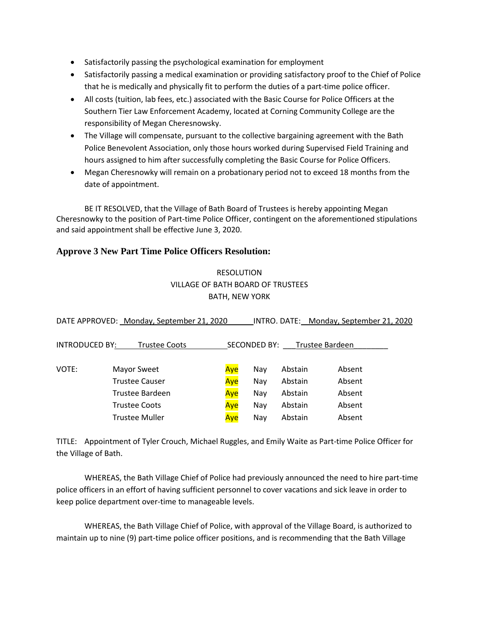- Satisfactorily passing the psychological examination for employment
- Satisfactorily passing a medical examination or providing satisfactory proof to the Chief of Police that he is medically and physically fit to perform the duties of a part-time police officer.
- All costs (tuition, lab fees, etc.) associated with the Basic Course for Police Officers at the Southern Tier Law Enforcement Academy, located at Corning Community College are the responsibility of Megan Cheresnowsky.
- The Village will compensate, pursuant to the collective bargaining agreement with the Bath Police Benevolent Association, only those hours worked during Supervised Field Training and hours assigned to him after successfully completing the Basic Course for Police Officers.
- Megan Cheresnowky will remain on a probationary period not to exceed 18 months from the date of appointment.

BE IT RESOLVED, that the Village of Bath Board of Trustees is hereby appointing Megan Cheresnowky to the position of Part-time Police Officer, contingent on the aforementioned stipulations and said appointment shall be effective June 3, 2020.

## **Approve 3 New Part Time Police Officers Resolution:**

## RESOLUTION VILLAGE OF BATH BOARD OF TRUSTEES BATH, NEW YORK

| DATE APPROVED: Monday, September 21, 2020 |                        |     |              | INTRO. DATE: Monday, September 21, 2020 |                 |  |  |  |
|-------------------------------------------|------------------------|-----|--------------|-----------------------------------------|-----------------|--|--|--|
| <b>INTRODUCED BY:</b>                     | <b>Trustee Coots</b>   |     | SECONDED BY: |                                         | Trustee Bardeen |  |  |  |
| VOTE:                                     | Mayor Sweet            | Aye | Nav          | Abstain                                 | Absent          |  |  |  |
|                                           | <b>Trustee Causer</b>  | Aye | Nay          | Abstain                                 | Absent          |  |  |  |
|                                           | <b>Trustee Bardeen</b> | Aye | Nav          | Abstain                                 | Absent          |  |  |  |
|                                           | <b>Trustee Coots</b>   | Aye | Nay          | Abstain                                 | Absent          |  |  |  |
|                                           | <b>Trustee Muller</b>  | Ave | Nay          | Abstain                                 | Absent          |  |  |  |

TITLE: Appointment of Tyler Crouch, Michael Ruggles, and Emily Waite as Part-time Police Officer for the Village of Bath.

WHEREAS, the Bath Village Chief of Police had previously announced the need to hire part-time police officers in an effort of having sufficient personnel to cover vacations and sick leave in order to keep police department over-time to manageable levels.

WHEREAS, the Bath Village Chief of Police, with approval of the Village Board, is authorized to maintain up to nine (9) part-time police officer positions, and is recommending that the Bath Village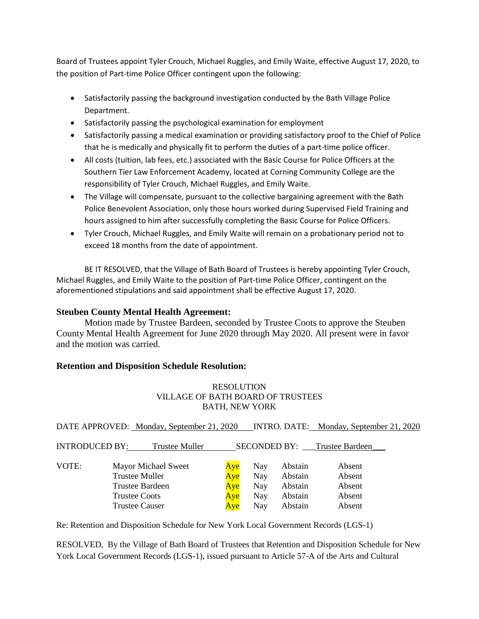Board of Trustees appoint Tyler Crouch, Michael Ruggles, and Emily Waite, effective August 17, 2020, to the position of Part-time Police Officer contingent upon the following:

- Satisfactorily passing the background investigation conducted by the Bath Village Police Department.
- Satisfactorily passing the psychological examination for employment
- Satisfactorily passing a medical examination or providing satisfactory proof to the Chief of Police that he is medically and physically fit to perform the duties of a part-time police officer.
- All costs (tuition, lab fees, etc.) associated with the Basic Course for Police Officers at the Southern Tier Law Enforcement Academy, located at Corning Community College are the responsibility of Tyler Crouch, Michael Ruggles, and Emily Waite.
- The Village will compensate, pursuant to the collective bargaining agreement with the Bath Police Benevolent Association, only those hours worked during Supervised Field Training and hours assigned to him after successfully completing the Basic Course for Police Officers.
- Tyler Crouch, Michael Ruggles, and Emily Waite will remain on a probationary period not to exceed 18 months from the date of appointment.

BE IT RESOLVED, that the Village of Bath Board of Trustees is hereby appointing Tyler Crouch, Michael Ruggles, and Emily Waite to the position of Part-time Police Officer, contingent on the aforementioned stipulations and said appointment shall be effective August 17, 2020.

## **Steuben County Mental Health Agreement:**

Motion made by Trustee Bardeen, seconded by Trustee Coots to approve the Steuben County Mental Health Agreement for June 2020 through May 2020. All present were in favor and the motion was carried.

## **Retention and Disposition Schedule Resolution:**

## RESOLUTION VILLAGE OF BATH BOARD OF TRUSTEES BATH, NEW YORK

|                       | DATE APPROVED: Monday, September 21, 2020 |     |     |         | INTRO. DATE: Monday, September 21, 2020 |
|-----------------------|-------------------------------------------|-----|-----|---------|-----------------------------------------|
| <b>INTRODUCED BY:</b> | <b>Trustee Muller</b>                     |     |     |         | SECONDED BY: Trustee Bardeen            |
| VOTE:                 | Mayor Michael Sweet                       | Aye | Nay | Abstain | Absent                                  |
|                       | <b>Trustee Muller</b>                     | Aye | Nay | Abstain | Absent                                  |
|                       | <b>Trustee Bardeen</b>                    | Aye | Nay | Abstain | Absent                                  |
|                       | <b>Trustee Coots</b>                      | Aye | Nay | Abstain | Absent                                  |
|                       | <b>Trustee Causer</b>                     | Aye | Nay | Abstain | Absent                                  |

Re: Retention and Disposition Schedule for New York Local Government Records (LGS-1)

RESOLVED, By the Village of Bath Board of Trustees that Retention and Disposition Schedule for New York Local Government Records (LGS-1), issued pursuant to Article 57-A of the Arts and Cultural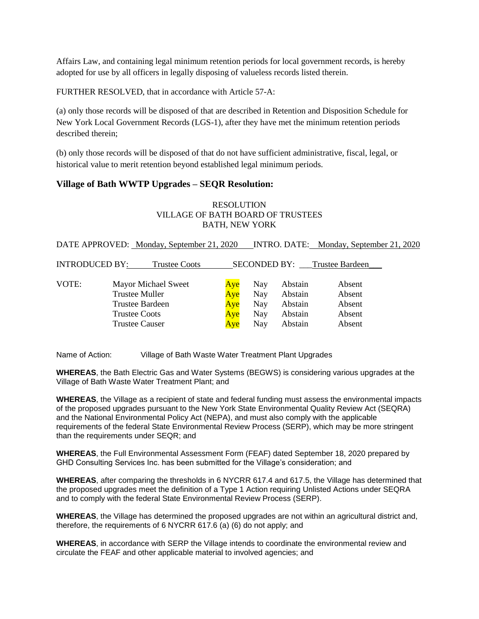Affairs Law, and containing legal minimum retention periods for local government records, is hereby adopted for use by all officers in legally disposing of valueless records listed therein.

FURTHER RESOLVED, that in accordance with Article 57-A:

(a) only those records will be disposed of that are described in Retention and Disposition Schedule for New York Local Government Records (LGS-1), after they have met the minimum retention periods described therein;

(b) only those records will be disposed of that do not have sufficient administrative, fiscal, legal, or historical value to merit retention beyond established legal minimum periods.

## **Village of Bath WWTP Upgrades – SEQR Resolution:**

### **RESOLUTION** VILLAGE OF BATH BOARD OF TRUSTEES BATH, NEW YORK

DATE APPROVED: Monday, September 21, 2020 INTRO. DATE: Monday, September 21, 2020

| <b>INTRODUCED BY:</b> |                       | <b>Trustee Coots</b>   |     | <b>SECONDED BY:</b> |         | Trustee Bardeen |
|-----------------------|-----------------------|------------------------|-----|---------------------|---------|-----------------|
|                       |                       |                        |     |                     |         |                 |
| VOTE:                 |                       | Mayor Michael Sweet    | Aye | Nay                 | Abstain | Absent          |
|                       | Trustee Muller        |                        | Aye | Nay                 | Abstain | Absent          |
|                       |                       | <b>Trustee Bardeen</b> | Aye | Nay                 | Abstain | Absent          |
|                       | <b>Trustee Coots</b>  |                        | Aye | Nay                 | Abstain | Absent          |
|                       | <b>Trustee Causer</b> |                        | Ave | Nay                 | Abstain | Absent          |

Name of Action: Village of Bath Waste Water Treatment Plant Upgrades

**WHEREAS**, the Bath Electric Gas and Water Systems (BEGWS) is considering various upgrades at the Village of Bath Waste Water Treatment Plant; and

**WHEREAS**, the Village as a recipient of state and federal funding must assess the environmental impacts of the proposed upgrades pursuant to the New York State Environmental Quality Review Act (SEQRA) and the National Environmental Policy Act (NEPA), and must also comply with the applicable requirements of the federal State Environmental Review Process (SERP), which may be more stringent than the requirements under SEQR; and

**WHEREAS**, the Full Environmental Assessment Form (FEAF) dated September 18, 2020 prepared by GHD Consulting Services Inc. has been submitted for the Village's consideration; and

**WHEREAS**, after comparing the thresholds in 6 NYCRR 617.4 and 617.5, the Village has determined that the proposed upgrades meet the definition of a Type 1 Action requiring Unlisted Actions under SEQRA and to comply with the federal State Environmental Review Process (SERP).

**WHEREAS**, the Village has determined the proposed upgrades are not within an agricultural district and, therefore, the requirements of 6 NYCRR 617.6 (a) (6) do not apply; and

**WHEREAS**, in accordance with SERP the Village intends to coordinate the environmental review and circulate the FEAF and other applicable material to involved agencies; and